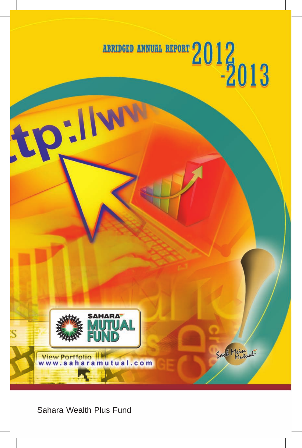# ABRIDGED ANNUAL REPORT 2012<br>-2013



tpil

Sach Meineal

Sahara Wealth Plus Fund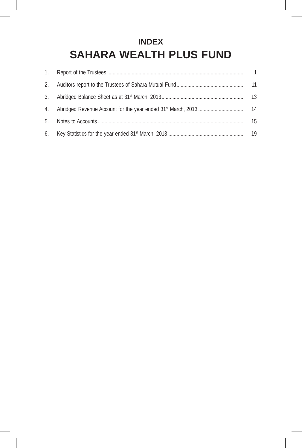# **INDEX SAHARA WEALTH PLUS FUND**

|  | 15 |
|--|----|
|  |    |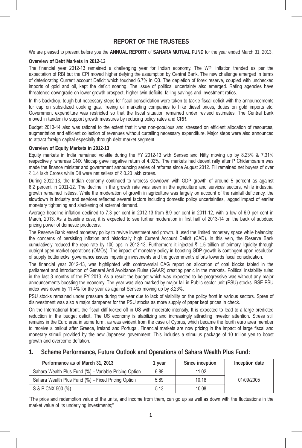# **REPORT OF THE TRUSTEES**

We are pleased to present before you the **ANNUAL REPORT** of **SAHARA MUTUAL FUND** for the year ended March 31, 2013.

#### **Overview of Debt Markets in 2012-13**

The financial year 2012-13 remained a challenging year for Indian economy. The WPI inflation trended as per the expectation of RBI but the CPI moved higher defying the assumption by Central Bank. The new challenge emerged in terms of deteriorating Current account Deficit which touched 6.7% in Q3. The depletion of forex reserve, coupled with unchecked imports of gold and oil, kept the deficit soaring. The issue of political uncertainty also emerged. Rating agencies have threatened downgrade on lower growth prospect, higher twin deficits, falling savings and investment ratios.

In this backdrop, tough but necessary steps for fiscal consolidation were taken to tackle fiscal deficit with the announcements for cap on subsidized cooking gas, freeing oil marketing companies to hike diesel prices, duties on gold imports etc. Government expenditure was restricted so that the fiscal situation remained under revised estimates. The Central bank moved in tandem to support growth measures by reducing policy rates and CRR.

Budget 2013-14 also was rational to the extent that it was non-populous and stressed on efficient allocation of resources, augmentation and efficient collection of revenues without curtailing necessary expenditure. Major steps were also announced to attract foreign capital especially through debt market segment.

#### **Overview of Equity Markets in 2012-13**

Equity markets in India remained volatile during the FY 2012-13 with Sensex and Nifty moving up by 8.23% & 7.31% respectively, whereas CNX Midcap gave negative return of 4.02%. The markets had decent rally after P Chidambaram was made the finance minister and government announcing series of reforms since August 2012. FII remained net buyers of over ₹ 1.4 lakh Crores while DII were net sellers of ₹ 0.20 lakh crores.

During 2012-13, the Indian economy continued to witness slowdown with GDP growth of around 5 percent as against 6.2 percent in 2011-12. The decline in the growth rate was seen in the agriculture and services sectors, while industrial growth remained listless. While the moderation of growth in agriculture was largely on account of the rainfall deficiency, the slowdown in industry and services reflected several factors including domestic policy uncertainties, lagged impact of earlier monetary tightening and slackening of external demand.

Average headline inflation declined to 7.3 per cent in 2012-13 from 8.9 per cent in 2011-12, with a low of 6.0 per cent in March, 2013. As a baseline case, it is expected to see further moderation in first half of 2013-14 on the back of subdued pricing power of domestic producers.

The Reserve Bank eased monetary policy to revive investment and growth. It used the limited monetary space while balancing the concerns of persisting inflation and historically high Current Account Deficit (CAD). In this vein, the Reserve Bank cumulatively reduced the repo rate by 100 bps in 2012-13. Furthermore it injected  $\bar{\tau}$  1.5 trillion of primary liquidity through outright open market operations (OMOs). The impact of monetary policy in boosting GDP growth is contingent upon resolution of supply bottlenecks, governance issues impeding investments and the government's efforts towards fiscal consolidation.

The financial year 2012-13, was highlighted with controversial CAG report on allocation of coal blocks tabled in the parliament and introduction of General Anti Avoidance Rules (GAAR) creating panic in the markets. Political instability ruled in the last 3 months of the FY 2013. As a result the budget which was expected to be progressive was without any major announcements boosting the economy. The year was also marked by major fall in Public sector unit (PSU) stocks. BSE PSU index was down by 11.4% for the year as against Sensex moving up by 8.23%.

PSU stocks remained under pressure during the year due to lack of visibility on the policy front in various sectors. Spree of disinvestment was also a major dampener for the PSU stocks as more supply of paper kept prices in check.

On the International front, the fiscal cliff kicked off in US with moderate intensity. It is expected to lead to a large predicted reduction in the budget deficit. The US economy is stabilizing and increasingly attracting investor attention. Stress still remains in the Euro area in some form, as was evident from the case of Cyprus, which became the fourth euro area member to receive a bailout after Greece, Ireland and Portugal. Financial markets are now pricing in the impact of large fiscal and monetary stimuli provided by the new Japanese government. This includes a stimulus package of 10 trillion yen to boost growth and overcome deflation.

#### **1. Scheme Performance, Future Outlook and Operations of Sahara Wealth Plus Fund:**

| Performance as of March 31, 2013                      | 1 vear | Since inception | Inception date |
|-------------------------------------------------------|--------|-----------------|----------------|
| Sahara Wealth Plus Fund (%) - Variable Pricing Option | 6.88   | 11.02           |                |
| Sahara Wealth Plus Fund (%) - Fixed Pricing Option    | 5.89   | 10 18           | 01/09/2005     |
| S & P CNX 500 (%)                                     | 5.13   | 10.08           |                |

"The price and redemption value of the units, and income from them, can go up as well as down with the fluctuations in the market value of its underlying investments;"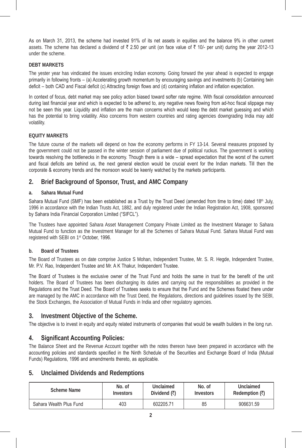As on March 31, 2013, the scheme had invested 91% of its net assets in equities and the balance 9% in other current assets. The scheme has declared a dividend of  $\bar{\zeta}$  2.50 per unit (on face value of  $\bar{\zeta}$  10/- per unit) during the year 2012-13 under the scheme.

#### **DEBT MARKETS**

The yester year has vindicated the issues encircling Indian economy. Going forward the year ahead is expected to engage primarily in following fronts – (a) Accelerating growth momentum by encouraging savings and investments (b) Containing twin deficit – both CAD and Fiscal deficit (c) Attracting foreign flows and (d) containing inflation and inflation expectation.

In context of focus, debt market may see policy action biased toward softer rate regime. With fiscal consolidation announced during last financial year and which is expected to be adhered to, any negative news flowing from ad-hoc fiscal slippage may not be seen this year. Liquidity and inflation are the main concerns which would keep the debt market guessing and which has the potential to bring volatility. Also concerns from western countries and rating agencies downgrading India may add volatility.

#### **EQUITY MARKETS**

The future course of the markets will depend on how the economy performs in FY 13-14. Several measures proposed by the government could not be passed in the winter session of parliament due of political ruckus. The government is working towards resolving the bottlenecks in the economy. Though there is a wide – spread expectation that the worst of the current and fiscal deficits are behind us, the next general election would be crucial event for the Indian markets. Till then the corporate & economy trends and the monsoon would be keenly watched by the markets participants.

#### **2. Brief Background of Sponsor, Trust, and AMC Company**

#### **a. Sahara Mutual Fund**

Sahara Mutual Fund (SMF) has been established as a Trust by the Trust Deed (amended from time to time) dated 18<sup>th</sup> July, 1996 in accordance with the Indian Trusts Act, 1882, and duly registered under the Indian Registration Act, 1908, sponsored by Sahara India Financial Corporation Limited ("SIFCL").

The Trustees have appointed Sahara Asset Management Company Private Limited as the Investment Manager to Sahara Mutual Fund to function as the Investment Manager for all the Schemes of Sahara Mutual Fund. Sahara Mutual Fund was registered with SEBI on 1st October, 1996.

#### **b. Board of Trustees**

The Board of Trustees as on date comprise Justice S Mohan, Independent Trustee, Mr. S. R. Hegde, Independent Trustee, Mr. P.V. Rao, Independent Trustee and Mr. A K Thakur, Independent Trustee.

The Board of Trustees is the exclusive owner of the Trust Fund and holds the same in trust for the benefit of the unit holders. The Board of Trustees has been discharging its duties and carrying out the responsibilities as provided in the Regulations and the Trust Deed. The Board of Trustees seeks to ensure that the Fund and the Schemes floated there under are managed by the AMC in accordance with the Trust Deed, the Regulations, directions and guidelines issued by the SEBI, the Stock Exchanges, the Association of Mutual Funds in India and other regulatory agencies.

#### **3. Investment Objective of the Scheme.**

The objective is to invest in equity and equity related instruments of companies that would be wealth builders in the long run.

#### **4. Significant Accounting Policies:**

The Balance Sheet and the Revenue Account together with the notes thereon have been prepared in accordance with the accounting policies and standards specified in the Ninth Schedule of the Securities and Exchange Board of India (Mutual Funds) Regulations, 1996 and amendments thereto, as applicable.

#### **5. Unclaimed Dividends and Redemptions**

| <b>Scheme Name</b>      | No. of           | Unclaimed            | No. of           | Unclaimed        |
|-------------------------|------------------|----------------------|------------------|------------------|
|                         | <b>Investors</b> | Dividend $(\bar{x})$ | <b>Investors</b> | Redemption $(3)$ |
| Sahara Wealth Plus Fund | 403              | 602205.71            | 85               | 906631.59        |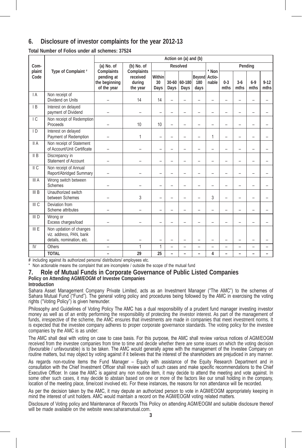# **6. Disclosure of investor complaints for the year 2012-13**

**Total Number of Folios under all schemes: 37524**

|                          |                                                                                 | Action on (a) and (b)                                           |                                                     |                             |                   |                          |                              |                          |                 |                          |               |                  |
|--------------------------|---------------------------------------------------------------------------------|-----------------------------------------------------------------|-----------------------------------------------------|-----------------------------|-------------------|--------------------------|------------------------------|--------------------------|-----------------|--------------------------|---------------|------------------|
| Com-                     |                                                                                 | (a) No. of                                                      | (b) No. of                                          |                             |                   | Resolved                 |                              |                          |                 | Pending                  |               |                  |
| plaint<br>Code           | Type of Complaint #                                                             | <b>Complaints</b><br>pending at<br>the beginning<br>of the year | <b>Complaints</b><br>received<br>during<br>the year | <b>Within</b><br>30<br>Days | $30 - 60$<br>Days | 60-180<br>Days           | <b>Beyond</b><br>180<br>days | * Non<br>Actio-<br>nable | $0 - 3$<br>mths | $3-6$<br>mths            | $6-9$<br>mths | $9 - 12$<br>mths |
| IA                       | Non receipt of<br>Dividend on Units                                             |                                                                 | 14                                                  | 14                          |                   |                          |                              | -                        |                 |                          |               |                  |
| $\overline{AB}$          | Interest on delayed<br>payment of Dividend                                      |                                                                 |                                                     | $\overline{\phantom{0}}$    |                   | $\overline{\phantom{0}}$ | -                            | $\overline{\phantom{0}}$ | ۰               |                          |               |                  |
| $\overline{C}$           | Non receipt of Redemption<br>Proceeds                                           |                                                                 | 10                                                  | 10                          | ۰                 | $\overline{a}$           | $\overline{\phantom{0}}$     | ۳                        | ۳               | ÷.                       |               |                  |
| ID                       | Interest on delayed<br>Payment of Redemption                                    |                                                                 | 1                                                   | ۳                           |                   |                          |                              | 1                        |                 |                          |               |                  |
| II A                     | Non receipt of Statement<br>of Account/Unit Certificate                         |                                                                 |                                                     | ۳                           |                   | ۳                        | L                            | $\overline{\phantom{0}}$ | $\overline{a}$  |                          |               |                  |
| II B                     | Discrepancy in<br>Statement of Account                                          |                                                                 |                                                     | ۳                           |                   | $\overline{\phantom{0}}$ | L                            | $\overline{\phantom{0}}$ | L.              |                          |               |                  |
| $\overline{\parallel C}$ | Non receipt of Annual<br>Report/Abridged Summary                                |                                                                 |                                                     | ۳                           |                   | $\overline{\phantom{0}}$ | $\overline{\phantom{0}}$     | $\overline{\phantom{0}}$ | $\overline{a}$  |                          |               |                  |
| III A                    | Wrong switch between<br><b>Schemes</b>                                          |                                                                 |                                                     | ۰                           |                   |                          |                              | ۳                        |                 |                          |               |                  |
| III B                    | Unauthorized switch<br>between Schemes                                          |                                                                 | 3                                                   |                             |                   |                          | ۳                            | 3                        | ۳               |                          |               |                  |
| III <sub>C</sub>         | Deviation from<br>Scheme attributes                                             |                                                                 |                                                     | ۰                           |                   | ۳                        | ۳                            | ۳                        |                 |                          |               |                  |
| $III$ D                  | Wrong or<br>Excess charges/load                                                 |                                                                 |                                                     |                             |                   |                          |                              |                          |                 |                          |               |                  |
| III E                    | Non updation of changes<br>viz. address, PAN, bank<br>details, nomination, etc. | $\overline{a}$                                                  |                                                     | $\overline{a}$              |                   | ۳                        |                              | -                        | ۳               |                          |               |                  |
| IV                       | Others                                                                          | ۰                                                               | 1                                                   | $\overline{1}$              |                   |                          | $\overline{a}$               | ۳                        | ۳               | $\overline{\phantom{0}}$ | ۰             |                  |
|                          | <b>TOTAL</b>                                                                    | $\overline{\phantom{0}}$                                        | 29                                                  | 25                          |                   |                          | -                            | 4                        |                 |                          |               |                  |

 $#$  including against its authorized persons/ distributors/ employees etc.

\* Non actionable means the complaint that are incomplete / outside the scope of the mutual fund

#### **7. Role of Mutual Funds in Corporate Governance of Public Listed Companies Policy on Attending AGM/EOGM of Investee Companies**

#### **Introduction**

Sahara Asset Management Company Private Limited, acts as an Investment Manager ("The AMC") to the schemes of Sahara Mutual Fund ("Fund"). The general voting policy and procedures being followed by the AMC in exercising the voting rights ("Voting Policy") is given hereunder.

Philosophy and Guidelines of Voting Policy The AMC has a dual responsibility of a prudent fund manager investing investor money as well as of an entity performing the responsibility of protecting the investor interest. As part of the management of funds, irrespective of the scheme, the AMC ensures that investments are made in companies that meet investment norms. It is expected that the investee company adheres to proper corporate governance standards. The voting policy for the investee companies by the AMC is as under:

The AMC shall deal with voting on case to case basis. For this purpose, the AMC shall review various notices of AGM/EOGM received from the investee companies from time to time and decide whether there are some issues on which the voting decision (favourable / unfavourable) is to be taken. The AMC would generally agree with the management of the Investee Company on routine matters, but may object by voting against if it believes that the interest of the shareholders are prejudiced in any manner.

As regards non-routine items the Fund Manager – Equity with assistance of the Equity Research Department and in<br>consultation with the Chief Investment Officer shall review each of such cases and make specific recommendatio Executive Officer. In case the AMC is against any non routine item, it may decide to attend the meeting and vote against. In some other such cases, it may decide to abstain based on one or more of the factors like our small holding in the company, location of the meeting place, time/cost involved etc. For these instances, the reasons for non attendance will be recorded.

As per the decision taken by the AMC, it may depute an authorized person to vote in AGM/EOGM appropriately keeping in mind the interest of unit holders. AMC would maintain a record on the AGM/EOGM voting related matters.

Disclosure of Voting policy and Maintenance of Records This Policy on attending AGM/EOGM and suitable disclosure thereof will be made available on the website www.saharamutual.com.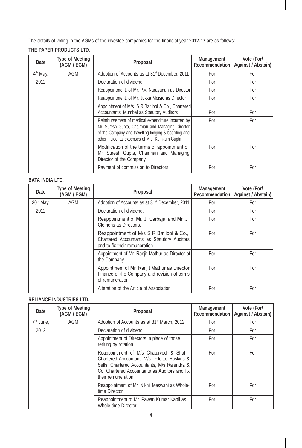The details of voting in the AGMs of the investee companies for the financial year 2012-13 are as follows:

# **THE PAPER PRODUCTS LTD.**

| Date                 | <b>Type of Meeting</b><br>(AGM / EGM) | Proposal                                                                                                                                                                                                       | <b>Management</b><br><b>Recommendation</b> | Vote (For/<br>Against / Abstain) |
|----------------------|---------------------------------------|----------------------------------------------------------------------------------------------------------------------------------------------------------------------------------------------------------------|--------------------------------------------|----------------------------------|
| 4 <sup>th</sup> May, | AGM                                   | Adoption of Accounts as at 31 <sup>st</sup> December, 2011                                                                                                                                                     | For                                        | For                              |
| 2012                 |                                       | Declaration of dividend                                                                                                                                                                                        | For                                        | For                              |
|                      |                                       | Reappointment. of Mr. P.V. Narayanan as Director                                                                                                                                                               | For                                        | For                              |
|                      |                                       | Reappointment. of Mr. Jukka Moisio as Director                                                                                                                                                                 | For                                        | For                              |
|                      |                                       | Appointment of M/s. S.R. Batliboi & Co., Chartered<br>Accountants, Mumbai as Statutory Auditors                                                                                                                | For                                        | For                              |
|                      |                                       | Reimbursement of medical expenditure incurred by<br>Mr. Suresh Gupta, Chairman and Managing Director<br>of the Company and travelling lodging & boarding and<br>other incidental expenses of Mrs. Kumkum Gupta | For                                        | For                              |
|                      |                                       | Modification of the terms of appointment of<br>Mr. Suresh Gupta, Chairman and Managing<br>Director of the Company.                                                                                             | For                                        | For                              |
|                      |                                       | Payment of commission to Directors                                                                                                                                                                             | For                                        | For                              |

#### **BATA INDIA LTD.**

| Date                  | <b>Type of Meeting</b><br>(AGM / EGM) | Proposal                                                                                                                 | Management<br><b>Recommendation</b> | Vote (For/<br>Against / Abstain) |
|-----------------------|---------------------------------------|--------------------------------------------------------------------------------------------------------------------------|-------------------------------------|----------------------------------|
| 30 <sup>th</sup> May, | AGM                                   | Adoption of Accounts as at 31 <sup>st</sup> December, 2011                                                               | For                                 | For                              |
| 2012                  |                                       | Declaration of dividend.                                                                                                 | For                                 | For                              |
|                       |                                       | Reappointment of Mr. J. Carbaial and Mr. J.<br>Clemons as Directors.                                                     | For                                 | For                              |
|                       |                                       | Reappointment of M/s S R Batliboi & Co.,<br>Chartered Accountants as Statutory Auditors<br>and to fix their remuneration | For                                 | For                              |
|                       |                                       | Appointment of Mr. Ranjit Mathur as Director of<br>the Company.                                                          | For                                 | For                              |
|                       |                                       | Appointment of Mr. Ranjit Mathur as Director<br>Finance of the Company and revision of terms<br>of remuneration.         | For                                 | For                              |
|                       |                                       | Alteration of the Article of Association                                                                                 | For                                 | For                              |

#### **RELIANCE INDUSTRIES LTD.**

| Date                  | <b>Type of Meeting</b><br>(AGM / EGM) | Proposal                                                                                                                                                                                                        | Management<br><b>Recommendation</b> | Vote (For/<br>Against / Abstain) |
|-----------------------|---------------------------------------|-----------------------------------------------------------------------------------------------------------------------------------------------------------------------------------------------------------------|-------------------------------------|----------------------------------|
| 7 <sup>th</sup> June, | AGM                                   | Adoption of Accounts as at 31 <sup>st</sup> March, 2012.                                                                                                                                                        | For                                 | For                              |
| 2012                  |                                       | Declaration of dividend.                                                                                                                                                                                        | For                                 | For                              |
|                       |                                       | Appointment of Directors in place of those<br>retiring by rotation.                                                                                                                                             | For                                 | For                              |
|                       |                                       | Reappointment of M/s Chaturvedi & Shah,<br>Chartered Accountant, M/s Deloitte Haskins &<br>Sells, Chartered Accountants, M/s Rajendra &<br>Co, Chartered Accountants as Auditors and fix<br>their remuneration. | For                                 | For                              |
|                       |                                       | Reappointment of Mr. Nikhil Meswani as Whole-<br>time Director.                                                                                                                                                 | For                                 | For                              |
|                       |                                       | Reappointment of Mr. Pawan Kumar Kapil as<br>Whole-time Director.                                                                                                                                               | For                                 | For                              |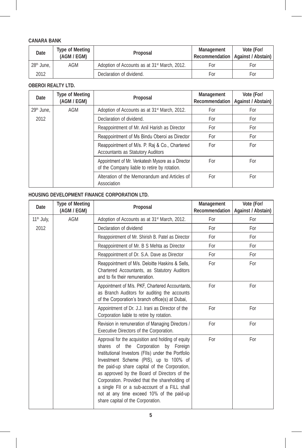#### **CANARA BANK**

| Date                   | <b>Type of Meeting</b><br>(AGM / EGM) | Proposal                                                 | Management | Vote (For/<br>Recommendation   Against / Abstain) |
|------------------------|---------------------------------------|----------------------------------------------------------|------------|---------------------------------------------------|
| 28 <sup>th</sup> June, | AGM                                   | Adoption of Accounts as at 31 <sup>st</sup> March, 2012. | For        | For                                               |
| 2012                   |                                       | Declaration of dividend.                                 | For        | For                                               |

# **OBEROI REALTY LTD.**

| Date                   | <b>Type of Meeting</b><br>(AGM / EGM) | Proposal                                                                                          | <b>Management</b><br><b>Recommendation</b> | Vote (For/<br>Against / Abstain) |
|------------------------|---------------------------------------|---------------------------------------------------------------------------------------------------|--------------------------------------------|----------------------------------|
| 29 <sup>th</sup> June, | AGM                                   | Adoption of Accounts as at 31 <sup>st</sup> March, 2012.                                          | For                                        | For                              |
| 2012                   |                                       | Declaration of dividend.                                                                          | For                                        | For                              |
|                        |                                       | Reappointment of Mr. Anil Harish as Director                                                      | For                                        | For                              |
|                        |                                       | Reappointment of Ms Bindu Oberoi as Director                                                      | For                                        | For                              |
|                        |                                       | Reappointment of M/s. P. Raj & Co., Chartered<br><b>Accountants as Statutory Auditors</b>         | For                                        | For                              |
|                        |                                       | Appointment of Mr. Venkatesh Mysore as a Director<br>of the Company liable to retire by rotation. | For                                        | For                              |
|                        |                                       | Alteration of the Memorandum and Articles of<br>Association                                       | For                                        | For                              |

#### **HOUSING DEVELOPMENT FINANCE CORPORATION LTD.**

| Date         | <b>Type of Meeting</b><br>(AGM / EGM) | Proposal                                                                                                                                                                                                                                                                                                                                                                                                                                                                         | <b>Management</b><br><b>Recommendation</b> | Vote (For/<br>Against / Abstain) |
|--------------|---------------------------------------|----------------------------------------------------------------------------------------------------------------------------------------------------------------------------------------------------------------------------------------------------------------------------------------------------------------------------------------------------------------------------------------------------------------------------------------------------------------------------------|--------------------------------------------|----------------------------------|
| $11th$ July, | <b>AGM</b>                            | Adoption of Accounts as at 31 <sup>st</sup> March, 2012.                                                                                                                                                                                                                                                                                                                                                                                                                         | For                                        | For                              |
| 2012         |                                       | Declaration of dividend                                                                                                                                                                                                                                                                                                                                                                                                                                                          | For                                        | For                              |
|              |                                       | Reappointment of Mr. Shirish B. Patel as Director                                                                                                                                                                                                                                                                                                                                                                                                                                | For                                        | For                              |
|              |                                       | Reappointment of Mr. B S Mehta as Director                                                                                                                                                                                                                                                                                                                                                                                                                                       | For                                        | For                              |
|              |                                       | Reappointment of Dr. S.A. Dave as Director                                                                                                                                                                                                                                                                                                                                                                                                                                       | For                                        | For                              |
|              |                                       | Reappointment of M/s. Deloitte Haskins & Sells,<br>Chartered Accountants, as Statutory Auditors<br>and to fix their remuneration.                                                                                                                                                                                                                                                                                                                                                | For                                        | For                              |
|              |                                       | Appointment of M/s. PKF, Chartered Accountants,<br>as Branch Auditors for auditing the accounts<br>of the Corporation's branch office(s) at Dubai,                                                                                                                                                                                                                                                                                                                               | For                                        | For                              |
|              |                                       | Appointment of Dr. J.J. Irani as Director of the<br>Corporation liable to retire by rotation.                                                                                                                                                                                                                                                                                                                                                                                    | For                                        | For                              |
|              |                                       | Revision in remuneration of Managing Directors /<br>Executive Directors of the Corporation.                                                                                                                                                                                                                                                                                                                                                                                      | For                                        | For                              |
|              |                                       | Approval for the acquisition and holding of equity<br>shares of the Corporation by Foreign<br>Institutional Investors (FIIs) under the Portfolio<br>Investment Scheme (PIS), up to 100% of<br>the paid-up share capital of the Corporation,<br>as approved by the Board of Directors of the<br>Corporation. Provided that the shareholding of<br>a single FII or a sub-account of a FILL shall<br>not at any time exceed 10% of the paid-up<br>share capital of the Corporation. | For                                        | For                              |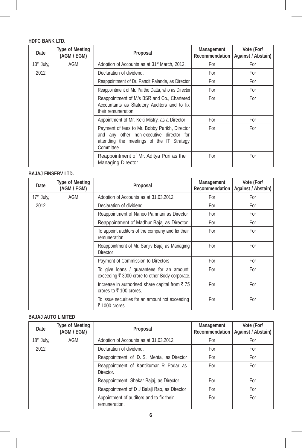#### **HDFC BANK LTD.**

| Date         | <b>Type of Meeting</b><br>(AGM / EGM) | Proposal                                                                                                                                             | <b>Management</b><br><b>Recommendation</b> | Vote (For/<br>Against / Abstain) |
|--------------|---------------------------------------|------------------------------------------------------------------------------------------------------------------------------------------------------|--------------------------------------------|----------------------------------|
| $13th$ July, | AGM                                   | Adoption of Accounts as at 31 <sup>st</sup> March, 2012.                                                                                             | For                                        | For                              |
| 2012         |                                       | Declaration of dividend.                                                                                                                             | For                                        | For                              |
|              |                                       | Reappointment of Dr. Pandit Palande, as Director                                                                                                     | For                                        | For                              |
|              |                                       | Reappointment of Mr. Partho Datta, who as Director                                                                                                   | For                                        | For                              |
|              |                                       | Reappointment of M/s BSR and Co., Chartered<br>Accountants as Statutory Auditors and to fix<br>their remuneration.                                   | For                                        | For                              |
|              |                                       | Appointment of Mr. Keki Mistry, as a Director                                                                                                        | For                                        | For                              |
|              |                                       | Payment of fees to Mr. Bobby Parikh, Director<br>and any other non-executive director for<br>attending the meetings of the IT Strategy<br>Committee. | For                                        | For                              |
|              |                                       | Reappointment of Mr. Aditya Puri as the<br>Managing Director.                                                                                        | For                                        | For                              |

#### **BAJAJ FINSERV LTD.**

| Date         | <b>Type of Meeting</b><br>(AGM / EGM) | Proposal                                                                                          | <b>Management</b><br>Recommendation | Vote (For/<br>Against / Abstain) |
|--------------|---------------------------------------|---------------------------------------------------------------------------------------------------|-------------------------------------|----------------------------------|
| $17th$ July, | AGM                                   | Adoption of Accounts as at 31.03.2012                                                             | For                                 | For                              |
| 2012         |                                       | Declaration of dividend.                                                                          | For                                 | For                              |
|              |                                       | Reappointment of Nanoo Pamnani as Director                                                        | For                                 | For                              |
|              |                                       | Reappointment of Madhur Bajaj as Director                                                         | For                                 | For                              |
|              |                                       | To appoint auditors of the company and fix their<br>remuneration.                                 | For                                 | For                              |
|              |                                       | Reappointment of Mr. Sanjiv Bajaj as Managing<br>Director                                         | For                                 | For                              |
|              |                                       | Payment of Commission to Directors                                                                | For                                 | For                              |
|              |                                       | To give loans / guarantees for an amount<br>exceeding ₹ 3000 crore to other Body corporate.       | For                                 | For                              |
|              |                                       | Increase in authorised share capital from $\overline{5}$ 75<br>crores to $\bar{\tau}$ 100 crores. | For                                 | For                              |
|              |                                       | To issue securities for an amount not exceeding<br>₹ 1000 crores                                  | For                                 | For                              |

#### **BAJAJ AUTO LIMITED**

| Date         | <b>Type of Meeting</b><br>(AGM / EGM) | Proposal                                                  | Management<br>Recommendation | Vote (For/<br>Against / Abstain) |
|--------------|---------------------------------------|-----------------------------------------------------------|------------------------------|----------------------------------|
| $18th$ July, | AGM                                   | Adoption of Accounts as at 31.03.2012                     | For                          | For                              |
| 2012         |                                       | Declaration of dividend.                                  | For                          | For                              |
|              |                                       | Reappointment of D.S. Mehta, as Director                  | For                          | For                              |
|              |                                       | Reappointment of Kantikumar R Podar as<br>Director.       | For                          | For                              |
|              |                                       | Reappointment Shekar Bajaj, as Director                   | For                          | For                              |
|              |                                       | Reappointment of D J Balaji Rao, as Director              | For                          | For                              |
|              |                                       | Appointment of auditors and to fix their<br>remuneration. | For                          | For                              |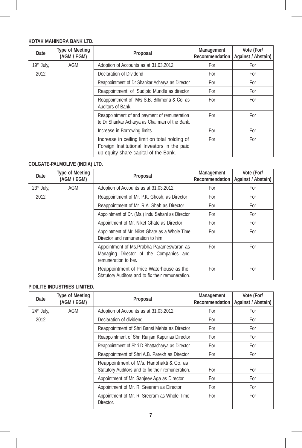#### **KOTAK MAHINDRA BANK LTD.**

| Date                   | <b>Type of Meeting</b><br>(AGM / EGM) | Proposal                                                                                                                             | <b>Management</b><br><b>Recommendation</b> | Vote (For/<br>Against / Abstain) |
|------------------------|---------------------------------------|--------------------------------------------------------------------------------------------------------------------------------------|--------------------------------------------|----------------------------------|
| 19 <sup>th</sup> July, | AGM                                   | Adoption of Accounts as at 31.03.2012                                                                                                | For                                        | For                              |
| 2012                   |                                       | Declaration of Dividend                                                                                                              | For                                        | For                              |
|                        |                                       | Reappointment of Dr Shankar Acharya as Director                                                                                      | For                                        | For                              |
|                        |                                       | Reappointment of Sudipto Mundle as director                                                                                          | For                                        | For                              |
|                        |                                       | Reappointment of M/s S.B. Billimoria & Co. as<br>Auditors of Bank.                                                                   | For                                        | For                              |
|                        |                                       | Reappointment of and payment of remuneration<br>to Dr Shankar Acharya as Chairman of the Bank.                                       | For                                        | For                              |
|                        |                                       | Increase in Borrowing limits                                                                                                         | For                                        | For                              |
|                        |                                       | Increase in ceiling limit on total holding of<br>Foreign Institutional Investors in the paid<br>up equity share capital of the Bank. | For                                        | For                              |

#### **COLGATE-PALMOLIVE (INDIA) LTD.**

| Date       | <b>Type of Meeting</b><br>(AGM / EGM) | Proposal                                                                                                    | Management<br><b>Recommendation</b> | Vote (For/<br>Against / Abstain) |
|------------|---------------------------------------|-------------------------------------------------------------------------------------------------------------|-------------------------------------|----------------------------------|
| 23rd July, | <b>AGM</b>                            | Adoption of Accounts as at 31.03.2012                                                                       | For                                 | For                              |
| 2012       |                                       | Reappointment of Mr. P.K. Ghosh, as Director                                                                | For                                 | For                              |
|            |                                       | Reappointment of Mr. R.A. Shah as Director                                                                  | For                                 | For                              |
|            |                                       | Appointment of Dr. (Ms.) Indu Sahani as Director                                                            | For                                 | For                              |
|            |                                       | Appointment of Mr. Niket Ghate as Director                                                                  | For                                 | For                              |
|            |                                       | Appointment of Mr. Niket Ghate as a Whole Time<br>Director and remuneration to him.                         | For                                 | For                              |
|            |                                       | Appointment of Ms. Prabha Parameswaran as<br>Managing Director of the Companies and<br>remuneration to her. | For                                 | For                              |
|            |                                       | Reappointment of Price Waterhouse as the<br>Statutory Auditors and to fix their remuneration.               | For                                 | For                              |

#### **PIDILITE INDUSTRIES LIMITED.**

| Date                   | <b>Type of Meeting</b><br>(AGM / EGM) | Proposal                                                                                       | <b>Management</b><br><b>Recommendation</b> | Vote (For/<br>Against / Abstain) |
|------------------------|---------------------------------------|------------------------------------------------------------------------------------------------|--------------------------------------------|----------------------------------|
| 24 <sup>th</sup> July, | AGM                                   | Adoption of Accounts as at 31.03.2012                                                          | For                                        | For                              |
| 2012                   |                                       | Declaration of dividend.                                                                       | For                                        | For                              |
|                        |                                       | Reappointment of Shri Bansi Mehta as Director                                                  | For                                        | For                              |
|                        |                                       | Reappointment of Shri Ranjan Kapur as Director                                                 | For                                        | For                              |
|                        |                                       | Reappointment of Shri D Bhattacharya as Director                                               | For                                        | For                              |
|                        |                                       | Reappointment of Shri A.B. Parekh as Director                                                  | For                                        | For                              |
|                        |                                       | Reappointment of M/s. Haribhakti & Co. as<br>Statutory Auditors and to fix their remuneration. | For                                        | For                              |
|                        |                                       | Appointment of Mr. Sanjeev Aga as Director                                                     | For                                        | For                              |
|                        |                                       | Appointment of Mr. R. Sreeram as Director                                                      | For                                        | For                              |
|                        |                                       | Appointment of Mr. R. Sreeram as Whole Time<br>Director.                                       | For                                        | For                              |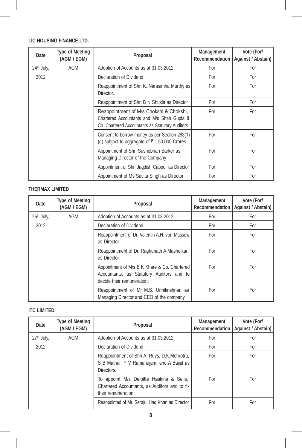#### **LIC HOUSING FINANCE LTD.**

| Date                   | <b>Type of Meeting</b><br>(AGM / EGM) | Proposal                                                                                                                                  | <b>Management</b><br><b>Recommendation</b> | Vote (For/<br>Against / Abstain) |
|------------------------|---------------------------------------|-------------------------------------------------------------------------------------------------------------------------------------------|--------------------------------------------|----------------------------------|
| 24 <sup>th</sup> July, | AGM                                   | Adoption of Accounts as at 31.03.2012                                                                                                     | For                                        | For                              |
| 2012                   |                                       | Declaration of Dividend                                                                                                                   | For                                        | For                              |
|                        |                                       | Reappointment of Shri K. Narasimha Murthy as<br>Director.                                                                                 | For                                        | For                              |
|                        |                                       | Reappointment of Shri B N Shukla as Director                                                                                              | For                                        | For                              |
|                        |                                       | Reappointment of M/s Chokshi & Chokshi,<br>Chartered Accountants and M/s Shah Gupta &<br>Co. Chartered Accountants as Statutory Auditors. | For                                        | For                              |
|                        |                                       | Consent to borrow money as per Section 293(1)<br>(d) subject to aggregate of ₹1,50,000 Crores                                             | For                                        | For                              |
|                        |                                       | Appointment of Shri Sushobhan Sarker as<br>Managing Director of the Company                                                               | For                                        | For                              |
|                        |                                       | Appointment of Shri Jagdish Capoor as Director                                                                                            | For                                        | For                              |
|                        |                                       | Appointment of Ms Savita Singh as Director                                                                                                | For                                        | For                              |

# **THERMAX LIMITED**

| Date         | <b>Type of Meeting</b><br>(AGM / EGM) | Proposal                                                                                                                | <b>Management</b><br><b>Recommendation</b> | Vote (For/<br>Against / Abstain) |
|--------------|---------------------------------------|-------------------------------------------------------------------------------------------------------------------------|--------------------------------------------|----------------------------------|
| $26th$ July, | AGM                                   | Adoption of Accounts as at 31.03.2012                                                                                   | For                                        | For                              |
| 2012         |                                       | Declaration of Dividend                                                                                                 | For                                        | For                              |
|              |                                       | Reappointment of Dr. Valentin A.H. von Massow.<br>as Director                                                           | For                                        | For                              |
|              |                                       | Reappointment of Dr. Raghunath A Mashelkar<br>as Director                                                               | For                                        | For                              |
|              |                                       | Appointment of M/s B K Khare & Co. Chartered<br>Accountants, as Statutory Auditors and to<br>decide their remuneration. | For                                        | For                              |
|              |                                       | Reappointment of Mr. M.S. Unnikrishnan as<br>Managing Director and CEO of the company.                                  | For                                        | For                              |

#### **ITC LIMITED.**

| Date                   | <b>Type of Meeting</b><br>(AGM / EGM) | Proposal                                                                                                         | Management<br><b>Recommendation</b> | Vote (For/<br>Against / Abstain) |
|------------------------|---------------------------------------|------------------------------------------------------------------------------------------------------------------|-------------------------------------|----------------------------------|
| 27 <sup>th</sup> July, | AGM                                   | Adoption of Accounts as at 31.03.2012                                                                            | For                                 | For                              |
| 2012                   |                                       | Declaration of Dividend                                                                                          | For                                 | For                              |
|                        |                                       | Reappointment of Shri A. Ruys, D.K.Mehrotra,<br>S B Mathur, P V Ramanujam, and A Baijal as<br>Directors.         | For                                 | For                              |
|                        |                                       | To appoint M/s Deloitte Haskins & Sells,<br>Chartered Accountants, as Auditors and to fix<br>their remuneration. | For                                 | For                              |
|                        |                                       | Reappointed of Mr. Serajul Hag Khan as Director                                                                  | For                                 | For                              |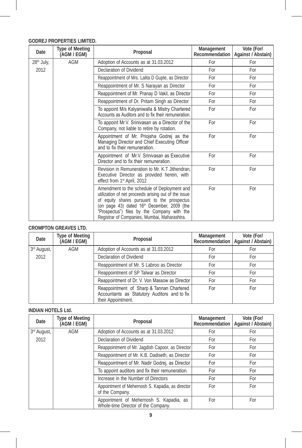#### **GODREJ PROPERTIES LIMITED.**

| Date                   | <b>Type of Meeting</b><br>(AGM / EGM) | Proposal                                                                                                                                                                                                                                                                                                     | <b>Management</b><br>Recommendation | Vote (For/<br>Against / Abstain) |
|------------------------|---------------------------------------|--------------------------------------------------------------------------------------------------------------------------------------------------------------------------------------------------------------------------------------------------------------------------------------------------------------|-------------------------------------|----------------------------------|
| 28 <sup>th</sup> July, | AGM                                   | Adoption of Accounts as at 31.03.2012                                                                                                                                                                                                                                                                        | For                                 | For                              |
| 2012                   |                                       | Declaration of Dividend                                                                                                                                                                                                                                                                                      | For                                 | For                              |
|                        |                                       | Reappointment of Mrs. Lalita D Gupte, as Director                                                                                                                                                                                                                                                            | For                                 | For                              |
|                        |                                       | Reappointment of Mr. S Narayan as Director                                                                                                                                                                                                                                                                   | For                                 | For                              |
|                        |                                       | Reappointment of Mr. Pranay D Vakil, as Director                                                                                                                                                                                                                                                             | For                                 | For                              |
|                        |                                       | Reappointment of Dr. Pritam Singh as Director                                                                                                                                                                                                                                                                | For                                 | For                              |
|                        |                                       | To appoint M/s Kalyaniwalla & Mistry Chartered<br>Accounts as Auditors and to fix their remuneration.                                                                                                                                                                                                        | For                                 | For                              |
|                        |                                       | To appoint Mr.V. Srinivasan as a Director of the<br>Company, not liable to retire by rotation.                                                                                                                                                                                                               | For                                 | For                              |
|                        |                                       | Appointment of Mr. Priojsha Godrej as the<br>Managing Director and Chief Executing Officer<br>and to fix their remuneration                                                                                                                                                                                  | For                                 | For                              |
|                        |                                       | Appointment of Mr.V. Srinivasan as Executive<br>Director and to fix their remuneration.                                                                                                                                                                                                                      | For                                 | For                              |
|                        |                                       | Revision in Remuneration to Mr. K.T Jithendran.<br>Executive Director as provided herein, with<br>effect from 1 <sup>st</sup> April, 2012                                                                                                                                                                    | For                                 | For                              |
|                        |                                       | Amendment to the schedule of Deployment and<br>utilization of net proceeds arising out of the issue<br>of equity shares pursuant to the prospectus<br>(on page 43) dated 16 <sup>th</sup> December, 2009 (the<br>"Prospectus") files by the Company with the<br>Registrar of Companies, Mumbai, Maharashtra. | For                                 | For                              |

#### **CROMPTON GREAVES LTD.**

| Date                    | <b>Type of Meeting</b><br>(AGM / EGM) | Proposal                                                                                                        | Management | Vote (For/<br>Recommendation   Against / Abstain) |
|-------------------------|---------------------------------------|-----------------------------------------------------------------------------------------------------------------|------------|---------------------------------------------------|
| 3 <sup>rd</sup> August, | AGM                                   | Adoption of Accounts as at 31.03.2012                                                                           | For        | For                                               |
| 2012                    |                                       | Declaration of Dividend                                                                                         | For        | For                                               |
|                         |                                       | Reappointment of Mr. S Labroo as Director                                                                       | For        | For                                               |
|                         |                                       | Reappointment of SP Talwar as Director                                                                          | For        | For                                               |
|                         |                                       | Reappointment of Dr. V. Von Massow as Director                                                                  | For        | For                                               |
|                         |                                       | Reappointment of Sharp & Tannan Chartered<br>Accountants as Statutory Auditors and to fix<br>their Appointment. | For        | For                                               |

#### **INDIAN HOTELS Ltd.**

| Date                    | <b>Type of Meeting</b><br>(AGM / EGM) | Proposal                                                                       | <b>Management</b><br><b>Recommendation</b> | Vote (For/<br>Against / Abstain) |
|-------------------------|---------------------------------------|--------------------------------------------------------------------------------|--------------------------------------------|----------------------------------|
| 3 <sup>rd</sup> August, | AGM                                   | Adoption of Accounts as at 31.03.2012                                          | For                                        | For                              |
| 2012                    |                                       | Declaration of Dividend                                                        | For                                        | For                              |
|                         |                                       | Reappointment of Mr. Jagdish Capoor, as Director                               | For                                        | For                              |
|                         |                                       | Reappointment of Mr. K.B. Dadiseth, as Director                                | For                                        | For                              |
|                         |                                       | Reappointment of Mr. Nadir Godrej, as Director                                 | For                                        | For                              |
|                         |                                       | To appoint auditors and fix their remuneration.                                | For                                        | For                              |
|                         |                                       | Increase in the Number of Directors                                            | For                                        | For                              |
|                         |                                       | Appointment of Mehernosh S. Kapadia, as director<br>of the Company.            | For                                        | For                              |
|                         |                                       | Appointment of Mehernosh S. Kapadia, as<br>Whole-time Director of the Company. | For                                        | For                              |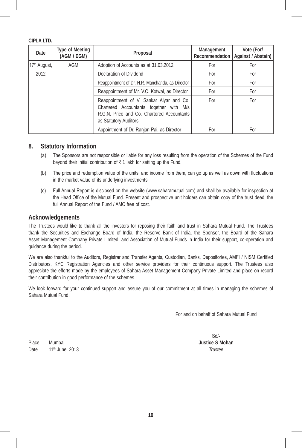**CIPLA LTD.**

| Date                     | <b>Type of Meeting</b><br>(AGM / EGM) | Proposal                                                                                                                                                    | Management<br>Recommendation | Vote (For/<br>Against / Abstain) |
|--------------------------|---------------------------------------|-------------------------------------------------------------------------------------------------------------------------------------------------------------|------------------------------|----------------------------------|
| 17 <sup>th</sup> August, | AGM                                   | Adoption of Accounts as at 31.03.2012                                                                                                                       | For                          | For                              |
| 2012                     |                                       | Declaration of Dividend                                                                                                                                     | For                          | For                              |
|                          |                                       | Reappointment of Dr. H.R. Manchanda, as Director                                                                                                            | For                          | For                              |
|                          |                                       | Reappointment of Mr. V.C. Kotwal, as Director                                                                                                               | For                          | For                              |
|                          |                                       | Reappointment of V. Sankar Aiyar and Co.<br>Chartered Accountants together with M/s<br>R.G.N. Price and Co. Chartered Accountants<br>as Statutory Auditors. | For                          | For                              |
|                          |                                       | Appointment of Dr. Ranjan Pai, as Director                                                                                                                  | For                          | For                              |

#### **8. Statutory Information**

- (a) The Sponsors are not responsible or liable for any loss resulting from the operation of the Schemes of the Fund beyond their initial contribution of  $\bar{\tau}$  1 lakh for setting up the Fund.
- (b) The price and redemption value of the units, and income from them, can go up as well as down with fluctuations in the market value of its underlying investments.
- (c) Full Annual Report is disclosed on the website (www.saharamutual.com) and shall be available for inspection at the Head Office of the Mutual Fund. Present and prospective unit holders can obtain copy of the trust deed, the full Annual Report of the Fund / AMC free of cost.

#### **Acknowledgements**

The Trustees would like to thank all the investors for reposing their faith and trust in Sahara Mutual Fund. The Trustees thank the Securities and Exchange Board of India, the Reserve Bank of India, the Sponsor, the Board of the Sahara Asset Management Company Private Limited, and Association of Mutual Funds in India for their support, co-operation and guidance during the period.

We are also thankful to the Auditors, Registrar and Transfer Agents, Custodian, Banks, Depositories, AMFI / NISM Certified Distributors, KYC Registration Agencies and other service providers for their continuous support. The Trustees also appreciate the efforts made by the employees of Sahara Asset Management Company Private Limited and place on record their contribution in good performance of the schemes.

We look forward for your continued support and assure you of our commitment at all times in managing the schemes of Sahara Mutual Fund.

For and on behalf of Sahara Mutual Fund

Place : Mumbai **Justice S Mohan** Date : 11th June, 2013 *Trustee*

Sd/-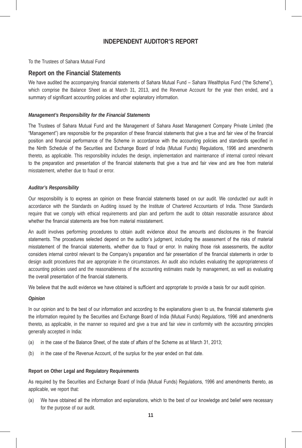### **INDEPENDENT AUDITOR'S REPORT**

To the Trustees of Sahara Mutual Fund

#### **Report on the Financial Statements**

We have audited the accompanying financial statements of Sahara Mutual Fund – Sahara Wealthplus Fund ("the Scheme"), which comprise the Balance Sheet as at March 31, 2013, and the Revenue Account for the year then ended, and a summary of significant accounting policies and other explanatory information.

#### *Management's Responsibility for the Financial Statements*

The Trustees of Sahara Mutual Fund and the Management of Sahara Asset Management Company Private Limited (the "Management") are responsible for the preparation of these financial statements that give a true and fair view of the financial position and financial performance of the Scheme in accordance with the accounting policies and standards specified in the Ninth Schedule of the Securities and Exchange Board of India (Mutual Funds) Regulations, 1996 and amendments thereto, as applicable. This responsibility includes the design, implementation and maintenance of internal control relevant to the preparation and presentation of the financial statements that give a true and fair view and are free from material misstatement, whether due to fraud or error.

#### *Auditor's Responsibility*

Our responsibility is to express an opinion on these financial statements based on our audit. We conducted our audit in accordance with the Standards on Auditing issued by the Institute of Chartered Accountants of India. Those Standards require that we comply with ethical requirements and plan and perform the audit to obtain reasonable assurance about whether the financial statements are free from material misstatement.

An audit involves performing procedures to obtain audit evidence about the amounts and disclosures in the financial statements. The procedures selected depend on the auditor's judgment, including the assessment of the risks of material misstatement of the financial statements, whether due to fraud or error. In making those risk assessments, the auditor considers internal control relevant to the Company's preparation and fair presentation of the financial statements in order to design audit procedures that are appropriate in the circumstances. An audit also includes evaluating the appropriateness of accounting policies used and the reasonableness of the accounting estimates made by management, as well as evaluating the overall presentation of the financial statements.

We believe that the audit evidence we have obtained is sufficient and appropriate to provide a basis for our audit opinion.

#### *Opinion*

In our opinion and to the best of our information and according to the explanations given to us, the financial statements give the information required by the Securities and Exchange Board of India (Mutual Funds) Regulations, 1996 and amendments thereto, as applicable, in the manner so required and give a true and fair view in conformity with the accounting principles generally accepted in India:

- (a) in the case of the Balance Sheet, of the state of affairs of the Scheme as at March 31, 2013;
- (b) in the case of the Revenue Account, of the surplus for the year ended on that date.

#### **Report on Other Legal and Regulatory Requirements**

As required by the Securities and Exchange Board of India (Mutual Funds) Regulations, 1996 and amendments thereto, as applicable, we report that:

(a) We have obtained all the information and explanations, which to the best of our knowledge and belief were necessary for the purpose of our audit.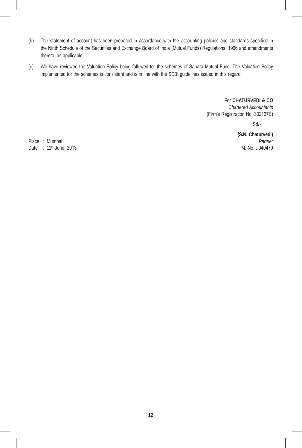- (b) The statement of account has been prepared in accordance with the accounting policies and standards specified in the Ninth Schedule of the Securities and Exchange Board of India (Mutual Funds) Regulations, 1996 and amendments thereto, as applicable.
- (c) We have reviewed the Valuation Policy being followed for the schemes of Sahara Mutual Fund. The Valuation Policy implemented for the schemes is consistent and is in line with the SEBI guidelines issued in this regard.

#### For **CHATURVEDI & CO**

 *Chartered Accountants* (Firm's Registration No. 302137E)

Sd/-

**(S.N. Chaturvedi)**

Place : Mumbai *Partner* Date : 11<sup>th</sup> June, 2013 M. No. : 040479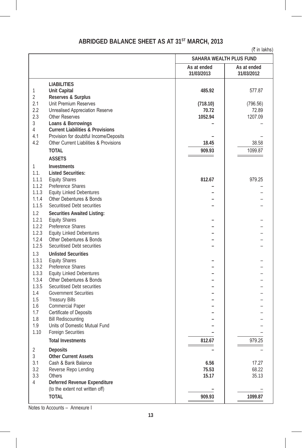# **ABRIDGED BALANCE SHEET AS AT 31ST MARCH, 2013**

 $($ ₹ in lakhs)

|                                                                                                                                                                                                                                                                                                                                                                                                                                                                                                                                                                       | <b>SAHARA WEALTH PLUS FUND</b>                  |                                                 |
|-----------------------------------------------------------------------------------------------------------------------------------------------------------------------------------------------------------------------------------------------------------------------------------------------------------------------------------------------------------------------------------------------------------------------------------------------------------------------------------------------------------------------------------------------------------------------|-------------------------------------------------|-------------------------------------------------|
|                                                                                                                                                                                                                                                                                                                                                                                                                                                                                                                                                                       | As at ended<br>31/03/2013                       | As at ended<br>31/03/2012                       |
| <b>LIABILITIES</b><br>1<br><b>Unit Capital</b><br>2<br>Reserves & Surplus<br>2.1<br>Unit Premium Reserves<br>2.2<br><b>Unrealised Appreciation Reserve</b><br>2.3<br><b>Other Reserves</b><br>3<br>Loans & Borrowings<br>4<br><b>Current Liabilities &amp; Provisions</b><br>4.1<br>Provision for doubtful Income/Deposits<br>4.2<br>Other Current Liabilities & Provisions                                                                                                                                                                                           | 485.92<br>(718.10)<br>70.72<br>1052.94<br>18.45 | 577.87<br>(796.56)<br>72.89<br>1207.09<br>38.58 |
| <b>TOTAL</b><br><b>ASSETS</b>                                                                                                                                                                                                                                                                                                                                                                                                                                                                                                                                         | 909.93                                          | 1099.87                                         |
| 1<br><b>Investments</b><br>1.1.<br><b>Listed Securities:</b><br>1.1.1<br><b>Equity Shares</b><br>1.1.2<br>Preference Shares<br>1.1.3<br><b>Equity Linked Debentures</b><br>1.1.4<br>Other Debentures & Bonds<br>1.1.5<br>Securitised Debt securities<br>1.2<br><b>Securities Awaited Listing:</b><br>1.2.1<br><b>Equity Shares</b><br>1.2.2<br>Preference Shares<br>1.2.3<br><b>Equity Linked Debentures</b><br>1.2.4<br>Other Debentures & Bonds<br>1.2.5                                                                                                            | 812.67                                          | 979.25                                          |
| <b>Securitised Debt securities</b><br>1.3<br><b>Unlisted Securities</b><br>1.3.1<br><b>Equity Shares</b><br>1.3.2<br><b>Preference Shares</b><br>1.3.3<br><b>Equity Linked Debentures</b><br>1.3.4<br>Other Debentures & Bonds<br>1.3.5<br><b>Securitised Debt securities</b><br>1.4<br><b>Government Securities</b><br>1.5<br><b>Treasury Bills</b><br><b>Commercial Paper</b><br>1.6<br>1.7<br>Certificate of Deposits<br><b>Bill Rediscounting</b><br>1.8<br>1.9<br>Units of Domestic Mutual Fund<br><b>Foreign Securities</b><br>1.10<br><b>Total Investments</b> |                                                 |                                                 |
| 2<br><b>Deposits</b><br>3<br><b>Other Current Assets</b><br>3.1<br>Cash & Bank Balance<br>3.2<br>Reverse Repo Lending<br>3.3<br><b>Others</b><br>4<br>Deferred Revenue Expenditure<br>(to the extent not written off)<br><b>TOTAL</b>                                                                                                                                                                                                                                                                                                                                 | 812.67<br>6.56<br>75.53<br>15.17<br>909.93      | 979.25<br>17.27<br>68.22<br>35.13<br>1099.87    |

Notes to Accounts – Annexure I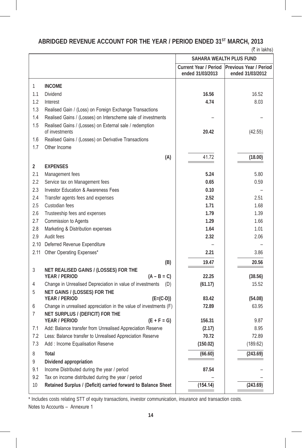# **ABRIDGED REVENUE ACCOUNT FOR THE YEAR / PERIOD ENDED 31ST MARCH, 2013**

 $($ ₹ in lakhs)

|                  |                                                                                | <b>SAHARA WEALTH PLUS FUND</b> |                                              |  |
|------------------|--------------------------------------------------------------------------------|--------------------------------|----------------------------------------------|--|
|                  |                                                                                |                                | Current Year / Period Previous Year / Period |  |
|                  |                                                                                | ended 31/03/2013               | ended 31/03/2012                             |  |
| 1.               | <b>INCOME</b>                                                                  |                                |                                              |  |
| 1.1              | Dividend                                                                       | 16.56                          | 16.52                                        |  |
| 1.2              | Interest                                                                       | 4.74                           | 8.03                                         |  |
| 1.3              | Realised Gain / (Loss) on Foreign Exchange Transactions                        |                                |                                              |  |
| 1.4              | Realised Gains / (Losses) on Interscheme sale of investments                   |                                |                                              |  |
| 1.5              | Realised Gains / (Losses) on External sale / redemption                        |                                |                                              |  |
|                  | of investments                                                                 | 20.42                          | (42.55)                                      |  |
| 1.6              | Realised Gains / (Losses) on Derivative Transactions                           |                                |                                              |  |
| 1.7              | Other Income                                                                   |                                |                                              |  |
|                  | (A)                                                                            | 41.72                          | (18.00)                                      |  |
| $\mathbf{2}$     | <b>EXPENSES</b>                                                                |                                |                                              |  |
| 2.1              | Management fees                                                                | 5.24                           | 5.80                                         |  |
| $2.2\phantom{0}$ | Service tax on Management fees                                                 | 0.65                           | 0.59                                         |  |
| 2.3              | <b>Investor Education &amp; Awareness Fees</b>                                 | 0.10                           |                                              |  |
| 2.4              | Transfer agents fees and expenses                                              | 2.52                           | 2.51                                         |  |
| 2.5              | Custodian fees                                                                 | 1.71                           | 1.68                                         |  |
| 2.6              | Trusteeship fees and expenses                                                  | 1.79                           | 1.39                                         |  |
| 2.7              | Commission to Agents                                                           | 1.29                           | 1.66                                         |  |
| 2.8              | Marketing & Distribution expenses                                              | 1.64                           | 1.01                                         |  |
| 2.9              | Audit fees                                                                     | 2.32                           | 2.06                                         |  |
|                  | 2.10 Deferred Revenue Expenditure                                              |                                |                                              |  |
| 2.11             | Other Operating Expenses*                                                      | 2.21                           | 3.86                                         |  |
|                  |                                                                                |                                |                                              |  |
|                  | (B)                                                                            | 19.47                          | 20.56                                        |  |
| 3                | NET REALISED GAINS / (LOSSES) FOR THE<br><b>YEAR / PERIOD</b><br>$(A - B = C)$ | 22.25                          | (38.56)                                      |  |
| 4                | Change in Unrealised Depreciation in value of investments<br>(D)               | (61.17)                        | 15.52                                        |  |
| 5                | NET GAINS / (LOSSES) FOR THE                                                   |                                |                                              |  |
|                  | YEAR / PERIOD<br>$(E=(C-D))$                                                   | 83.42                          | (54.08)                                      |  |
| 6                | Change in unrealised appreciation in the value of investments (F)              | 72.89                          | 63.95                                        |  |
| 7                | NET SURPLUS / (DEFICIT) FOR THE                                                |                                |                                              |  |
|                  | <b>YEAR / PERIOD</b><br>$(E + F = G)$                                          | 156.31                         | 9.87                                         |  |
| 7.1              | Add: Balance transfer from Unrealised Appreciation Reserve                     | (2.17)                         | 8.95                                         |  |
| 7.2              | Less: Balance transfer to Unrealised Appreciation Reserve                      | 70.72                          | 72.89                                        |  |
| 7.3              | Add: Income Equalisation Reserve                                               | (150.02)                       | (189.62)                                     |  |
| 8                | <b>Total</b>                                                                   | (66.60)                        | (243.69)                                     |  |
| 9                | Dividend appropriation                                                         |                                |                                              |  |
| 9.1              | Income Distributed during the year / period                                    | 87.54                          |                                              |  |
| 9.2              | Tax on income distributed during the year / period                             |                                |                                              |  |
| 10               | Retained Surplus / (Deficit) carried forward to Balance Sheet                  | (154.14)                       | (243.69)                                     |  |
|                  |                                                                                |                                |                                              |  |

\* Includes costs relating STT of equity transactions, investor communication, insurance and transaction costs. Notes to Accounts – Annexure 1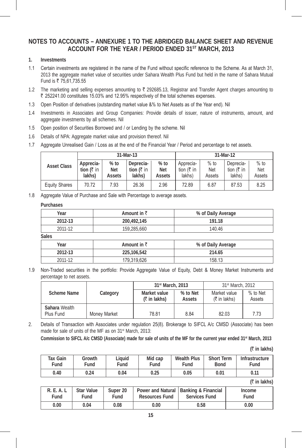# **NOTES TO ACCOUNTS – ANNEXURE 1 TO THE ABRIDGED BALANCE SHEET AND REVENUE ACCOUNT FOR THE YEAR / PERIOD ENDED 31ST MARCH, 2013**

#### **1. Investments**

- 1.1 Certain investments are registered in the name of the Fund without specific reference to the Scheme. As at March 31, 2013 the aggregate market value of securities under Sahara Wealth Plus Fund but held in the name of Sahara Mutual Fund is  $\bar{z}$  75,61,735.55
- 1.2 The marketing and selling expenses amounting to  $\bar{\tau}$  292685.13, Registrar and Transfer Agent charges amounting to ` 252241.00 constitutes 15.03% and 12.95% respectively of the total schemes expenses.
- 1.3 Open Position of derivatives (outstanding market value &% to Net Assets as of the Year end). Nil
- 1.4 Investments in Associates and Group Companies: Provide details of issuer, nature of instruments, amount, and aggregate investments by all schemes. Nil
- 1.5 Open position of Securities Borrowed and / or Lending by the scheme. Nil
- 1.6 Details of NPA: Aggregate market value and provision thereof. Nil
- 1.7 Aggregate Unrealised Gain / Loss as at the end of the Financial Year / Period and percentage to net assets.

|                      | 31-Mar-13                                  |                                |                                                |                                | 31-Mar-12                                      |                                |                                            |                         |
|----------------------|--------------------------------------------|--------------------------------|------------------------------------------------|--------------------------------|------------------------------------------------|--------------------------------|--------------------------------------------|-------------------------|
| <b>Asset Class</b>   | Apprecia-<br>tion $(3 \nvert n)$<br>lakhs) | $%$ to<br><b>Net</b><br>Assets | Deprecia-<br>tion $(3 \nvert \cdot)$<br>lakhs) | $%$ to<br>Net<br><b>Assets</b> | Apprecia-<br>tion $(3 \nvert \cdot)$<br>lakhs) | $%$ to<br><b>Net</b><br>Assets | Deprecia-<br>tion $(3 \nvert n)$<br>lakhs) | $%$ to<br>Net<br>Assets |
| <b>Equity Shares</b> | 70.72                                      | 7.93                           | 26.36                                          | 2.96                           | 72.89                                          | 6.87                           | 87.53                                      | 8.25                    |

1.8 Aggregate Value of Purchase and Sale with Percentage to average assets.

#### **Purchases**

| Year         | Amount in $\bar{z}$ | % of Daily Average |
|--------------|---------------------|--------------------|
| 2012-13      | 200,492,145         | 191.18             |
| 2011-12      | 159,285,660         | 140.46             |
| <b>Sales</b> |                     |                    |
| Year         | Amount in $\bar{z}$ | % of Daily Average |
| 2012-13      | 225,106,542         | 214.65             |
| 2011-12      | 179.319.626         | 158.13             |

1.9 Non-Traded securities in the portfolio: Provide Aggregate Value of Equity, Debt & Money Market Instruments and percentage to net assets.

|                            |              | 31 <sup>st</sup> March, 2013          |                           | 31 <sup>st</sup> March, 2012                         |                    |
|----------------------------|--------------|---------------------------------------|---------------------------|------------------------------------------------------|--------------------|
| <b>Scheme Name</b>         | Category     | Market value<br>$(3 \nvert$ in lakhs) | % to Net<br><b>Assets</b> | Market value<br>$(5 \in \mathsf{In} \mathsf{lakhs})$ | % to Net<br>Assets |
| Sahara Wealth<br>Plus Fund | Money Market | 78.81                                 | 8.84                      | 82.03                                                | 7.73               |

2. Details of Transaction with Associates under regulation 25(8). Brokerage to SIFCL A/c CMSD (Associate) has been made for sale of units of the MF as on 31<sup>st</sup> March, 2013:

**Commission to SIFCL A/c CMSD (Associate) made for sale of units of the MF for the current year ended 31st March, 2013**

**(**` **in lakhs)**

| Tax Gain | Growth | Liauid | Mid cap     | <b>Wealth Plus</b> | <b>Short Term</b> | Infrastructure |
|----------|--------|--------|-------------|--------------------|-------------------|----------------|
| Fund     | Fund   | Fund   | <b>Fund</b> | Fund               | <b>Bond</b>       | Fund           |
| 0.40     | 0.24   | 0.04   | 0.25        | 0.05               | 0.01              | 0.11           |

**(**` **in lakhs)**

| R. E. A. L<br>Fund | <b>Star Value</b><br>Fund | Super 20<br>Fund | <b>Resources Fund</b> | <b>Power and Natural   Banking &amp; Financial</b><br><b>Services Fund</b> | Income<br>Fund |
|--------------------|---------------------------|------------------|-----------------------|----------------------------------------------------------------------------|----------------|
| 0.00               | 0.04                      | 0.08             | 0.00                  | 0.58                                                                       | 0.00           |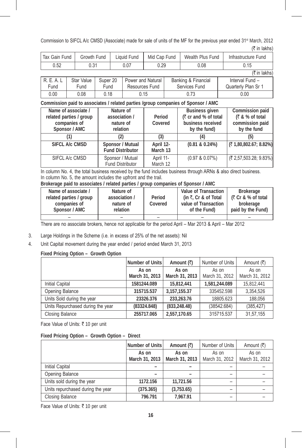Commission to SIFCL A/c CMSD (Associate) made for sale of units of the MF for the previous year ended 31<sup>st</sup> March, 2012  $($ ₹ in lakhs)

| Tax Gain Fund | Growth Fund           | Liauid Fund | Mid Cap Fund | Wealth Plus Fund | Infrastructure Fund  |  |
|---------------|-----------------------|-------------|--------------|------------------|----------------------|--|
| 0.52          | በ 21<br>0.07<br>u.o i |             | 0.08<br>0.29 |                  | 0.15                 |  |
|               |                       |             |              |                  | $(\bar{z}$ in lakhs) |  |

|              |            |          |                   |                     | $\sqrt{111101110}$  |
|--------------|------------|----------|-------------------|---------------------|---------------------|
| ' R. E. A. L | Star Value | Super 20 | Power and Natural | Banking & Financial | Interval Fund -     |
| Fund         | Fund       | Fund     | Resources Fund    | Services Fund       | Quarterly Plan Sr 1 |
| 0.00         | 0.08       | 0.18     | 0.15              | ე.73                | 0.00                |

#### **Commission paid to associates / related parties /group companies of Sponsor / AMC**

| Name of associate /     | Nature of                                   |                       | <b>Business given</b> | <b>Commission paid</b> |
|-------------------------|---------------------------------------------|-----------------------|-----------------------|------------------------|
| related parties / group | association /                               | Period                | (₹ cr and % of total  | (₹ & % of total        |
| companies of            | nature of                                   | Covered               | business received     | commission paid        |
| Sponsor / AMC           | relation                                    |                       | by the fund)          | by the fund            |
|                         | (2)                                         | (3)                   | (4)                   | (5)                    |
| <b>SIFCL A/c CMSD</b>   | Sponsor / Mutual<br><b>Fund Distributor</b> | April 12-<br>March 13 | $(0.81 & 0.24\%)$     | (₹1,80,802.67; 8.82%)  |
| SIFCL A/c CMSD          | Sponsor / Mutual<br><b>Fund Distributor</b> | April 11-<br>March 12 | $(0.97 \& 0.07\%)$    | (₹ 2,57,503.28; 9.83%) |

In column No. 4, the total business received by the fund includes business through ARNs & also direct business. In column No. 5, the amount includes the upfront and the trail.

**Brokerage paid to associates / related parties / group companies of Sponsor / AMC**

| Name of associate /<br>related parties / group<br>companies of<br>Sponsor / AMC | Nature of<br>association /<br>nature of<br>relation | Period<br>Covered | <b>Value of Transaction</b><br>(in $\bar{z}$ , Cr & of Total<br>value of Transaction<br>of the Fund) | <b>Brokerage</b><br><b>(₹ Cr &amp; % of total</b><br>brokerage<br>paid by the Fund) |
|---------------------------------------------------------------------------------|-----------------------------------------------------|-------------------|------------------------------------------------------------------------------------------------------|-------------------------------------------------------------------------------------|
|                                                                                 |                                                     |                   |                                                                                                      |                                                                                     |

There are no associate brokers, hence not applicable for the period April – Mar 2013 & April – Mar 2012

3. Large Holdings in the Scheme (i.e. in excess of 25% of the net assets): Nil

4. Unit Capital movement during the year ended / period ended March 31, 2013

#### **Fixed Pricing Option – Growth Option**

|                                   | Number of Units | Amount $(\bar{z})$ | Number of Units | Amount (₹)     |
|-----------------------------------|-----------------|--------------------|-----------------|----------------|
|                                   | As on           | As on              | As on           | As on          |
|                                   | March 31, 2013  | March 31, 2013     | March 31, 2012  | March 31, 2012 |
| Initial Capital                   | 1581244.089     | 15.812.441         | 1,581,244.089   | 15,812,441     |
| Opening Balance                   | 315715.537      | 3,157,155.37       | 335452.598      | 3,354,526      |
| Units Sold during the year        | 23326.376       | 233,263.76         | 18805.623       | 188,056        |
| Units Repurchased during the year | (83324.848)     | (833, 248.48)      | (38542.684)     | (385, 427)     |
| Closing Balance                   | 255717.065      | 2,557,170.65       | 315715.537      | 31,57,155      |

Face Value of Units: ₹ 10 per unit

#### **Fixed Pricing Option – Growth Option – Direct**

|                                   | Number of Units | Amount $(\bar{z})$ | Number of Units | Amount (₹)     |
|-----------------------------------|-----------------|--------------------|-----------------|----------------|
|                                   | As on           | As on              | As on           | As on          |
|                                   | March 31, 2013  | March 31, 2013     | March 31, 2012  | March 31, 2012 |
| Initial Capital                   |                 |                    |                 |                |
| Opening Balance                   |                 |                    |                 |                |
| Units sold during the year        | 1172.156        | 11,721.56          |                 |                |
| Units repurchased during the year | (375.365)       | (3,753.65)         |                 |                |
| Closing Balance                   | 796.791         | 7.967.91           |                 |                |

Face Value of Units: ₹ 10 per unit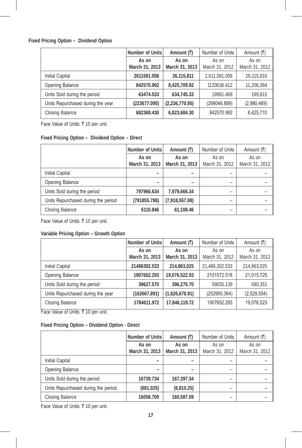#### **Fixed Pricing Option – Dividend Option**

|                                   | Number of Units         | Amount $(\bar{z})$      | Number of Units         | Amount (₹)              |  |
|-----------------------------------|-------------------------|-------------------------|-------------------------|-------------------------|--|
|                                   | As on<br>March 31, 2013 | As on<br>March 31, 2013 | As on<br>March 31, 2012 | As on<br>March 31, 2012 |  |
| Initial Capital                   | 2611581.056             | 26,115,811              | 2,611,581.056           | 26,115,810              |  |
| Opening Balance                   | 842570.992              | 8,425,709.92            | 1120636.412             | 11,206,364              |  |
| Units Sold during the period      | 63474.533               | 634,745.33              | 19981.469               | 199,815                 |  |
| Units Repurchased during the year | (223677.095)            | (2,236,770.95)          | (298046.889)            | (2,980,469)             |  |
| Closing Balance                   | 682368.430              | 6,823,684.30            | 842570.992              | 8,425,710               |  |
|                                   |                         |                         |                         |                         |  |

Face Value of Units: ₹ 10 per unit.

#### **Fixed Pricing Option – Dividend Option – Direct**

|                                     |                         | Number of Units<br>Number of Units<br>Amount $(\bar{z})$ |                         | Amount (₹)              |  |
|-------------------------------------|-------------------------|----------------------------------------------------------|-------------------------|-------------------------|--|
|                                     | As on<br>March 31, 2013 | As on<br>March 31, 2013                                  | As on<br>March 31, 2012 | As on<br>March 31, 2012 |  |
| <b>Initial Capital</b>              |                         |                                                          |                         |                         |  |
| Opening Balance                     |                         |                                                          |                         |                         |  |
| Units Sold during the period        | 797966.634              | 7,979,666.34                                             |                         |                         |  |
| Units Repurchased during the period | (791855.788)            | (7,918,557.88)                                           |                         |                         |  |
| <b>Closing Balance</b>              | 6110.846                | 61,108.46                                                |                         |                         |  |

Face Value of Units: ₹ 10 per unit.

#### **Variable Pricing Option – Growth Option**

|                                                   | Number of Units              | Amount (₹)     | Number of Units | Amount (そ)     |
|---------------------------------------------------|------------------------------|----------------|-----------------|----------------|
|                                                   | As on                        | As on          |                 | As on          |
|                                                   | March 31, 2013               | March 31, 2013 | March 31, 2012  | March 31, 2012 |
| <b>Initial Capital</b>                            | 21486302.533                 | 214,863,025    | 21,486,302.533  | 214,863,025    |
| Opening Balance                                   | 19,076,522.93<br>1907652.293 |                | 2101572.518     | 21,015,725     |
| Units Sold during the period                      | 39627.570                    | 396.275.70     | 59035.139       | 590,351        |
| Units Repurchased during the year<br>(162667.891) |                              | (1,626,678.91) | (252955.364)    | (2,529,554)    |
| <b>Closing Balance</b>                            | 1784611.972                  | 17,846,119.72  | 1907652.293     | 19,076,523     |

Face Value of Units: ₹ 10 per unit.

#### **Fixed Pricing Option – Dividend Option - Direct**

|                                     | Number of Units         | Amount $(\bar{z})$      | Number of Units         | Amount (そ)              |
|-------------------------------------|-------------------------|-------------------------|-------------------------|-------------------------|
|                                     | As on<br>March 31, 2013 | As on<br>March 31, 2013 | As on<br>March 31, 2012 | As on<br>March 31, 2012 |
| <b>Initial Capital</b>              |                         |                         |                         |                         |
| Opening Balance                     |                         |                         |                         |                         |
| Units Sold during the period        | 16739.734               | 167,397.34              | -                       |                         |
| Units Repurchased during the period | (681.025)               | (6,810.25)              |                         |                         |
| <b>Closing Balance</b>              | 16058.709               | 160,587.09              |                         |                         |

Face Value of Units: ₹ 10 per unit.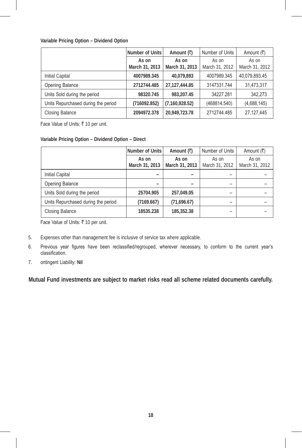#### **Variable Pricing Option – Dividend Option**

|                                     | Number of Units         | Amount $(\bar{z})$      | Number of Units         | Amount (₹)              |
|-------------------------------------|-------------------------|-------------------------|-------------------------|-------------------------|
|                                     | As on<br>March 31, 2013 | As on<br>March 31, 2013 | As on<br>March 31, 2012 | As on<br>March 31, 2012 |
| Initial Capital                     | 4007989.345             | 40,079,893              | 4007989.345             | 40,079,893.45           |
| Opening Balance                     | 2712744.485             | 27.127.444.85           | 3147331.744             | 31,473,317              |
| Units Sold during the period        | 98320.745               | 983.207.45              | 34227.281               | 342.273                 |
| Units Repurchased during the period | (716092.852)            | (7, 160, 928.52)        | (468814.540)            | (4,688,145)             |
| <b>Closing Balance</b>              | 2094972.378             | 20,949,723.78           | 2712744.485             | 27,127,445              |

Face Value of Units: ₹ 10 per unit.

#### **Variable Pricing Option – Dividend Option – Direct**

|                                     | Number of Units | Amount $(\bar{z})$ | Number of Units | Amount (₹)     |  |
|-------------------------------------|-----------------|--------------------|-----------------|----------------|--|
|                                     | As on           | As on              |                 | As on          |  |
|                                     | March 31, 2013  | March 31, 2013     | March 31, 2012  | March 31, 2012 |  |
| <b>Initial Capital</b>              |                 |                    |                 |                |  |
| Opening Balance                     |                 |                    |                 |                |  |
| Units Sold during the period        | 25704.905       | 257,049.05         |                 |                |  |
| Units Repurchased during the period | (7169.667)      | (71,696.67)        |                 |                |  |
| <b>Closing Balance</b>              | 18535.238       | 185,352.38         |                 |                |  |

Face Value of Units: ₹ 10 per unit.

- 5. Expenses other than management fee is inclusive of service tax where applicable.
- 6. Previous year figures have been reclassified/regrouped, wherever necessary, to conform to the current year's classification.
- 7. ontingent Liability: **Nil**

#### **Mutual Fund investments are subject to market risks read all scheme related documents carefully.**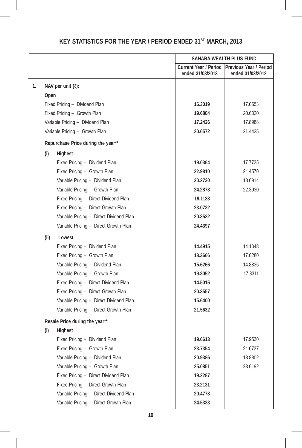# **KEY STATISTICS FOR THE YEAR / PERIOD ENDED 31ST MARCH, 2013**

|    |      |                                         | SAHARA WEALTH PLUS FUND |                                                                      |
|----|------|-----------------------------------------|-------------------------|----------------------------------------------------------------------|
|    |      |                                         | ended 31/03/2013        | Current Year / Period   Previous Year / Period  <br>ended 31/03/2012 |
| 1. |      | NAV per unit $(\bar{z})$ :              |                         |                                                                      |
|    | Open |                                         |                         |                                                                      |
|    |      | Fixed Pricing - Dividend Plan           | 16.3019                 | 17.0653                                                              |
|    |      | Fixed Pricing - Growth Plan             | 19.6804                 | 20.6020                                                              |
|    |      | Variable Pricing - Dividend Plan        | 17.2426                 | 17.8988                                                              |
|    |      | Variable Pricing - Growth Plan          | 20.6572                 | 21.4435                                                              |
|    |      | Repurchase Price during the year**      |                         |                                                                      |
|    | (i)  | <b>Highest</b>                          |                         |                                                                      |
|    |      | Fixed Pricing - Dividend Plan           | 19.0364                 | 17.7735                                                              |
|    |      | Fixed Pricing - Growth Plan             | 22.9810                 | 21.4570                                                              |
|    |      | Variable Pricing - Dividend Plan        | 20.2730                 | 18.6914                                                              |
|    |      | Variable Pricing - Growth Plan          | 24.2878                 | 22.3930                                                              |
|    |      | Fixed Pricing - Direct Dividend Plan    | 19.1128                 |                                                                      |
|    |      | Fixed Pricing - Direct Growth Plan      | 23,0732                 |                                                                      |
|    |      | Variable Pricing - Direct Dividend Plan | 20.3532                 |                                                                      |
|    |      | Variable Pricing - Direct Growth Plan   | 24.4397                 |                                                                      |
|    | (ii) | Lowest                                  |                         |                                                                      |
|    |      | Fixed Pricing - Dividend Plan           | 14.4915                 | 14.1048                                                              |
|    |      | Fixed Pricing - Growth Plan             | 18.3666                 | 17.0280                                                              |
|    |      | Variable Pricing - Dividend Plan        | 15.6266                 | 14.8836                                                              |
|    |      | Variable Pricing - Growth Plan          | 19.3052                 | 17.8311                                                              |
|    |      | Fixed Pricing - Direct Dividend Plan    | 14.5015                 |                                                                      |
|    |      | Fixed Pricing - Direct Growth Plan      | 20.3557                 |                                                                      |
|    |      | Variable Pricing - Direct Dividend Plan | 15,6400                 |                                                                      |
|    |      | Variable Pricing - Direct Growth Plan   | 21.5632                 |                                                                      |
|    |      | Resale Price during the year**          |                         |                                                                      |
|    | (i)  | Highest                                 |                         |                                                                      |
|    |      | Fixed Pricing - Dividend Plan           | 19.6613                 | 17.9530                                                              |
|    |      | Fixed Pricing - Growth Plan             | 23.7354                 | 21.6737                                                              |
|    |      | Variable Pricing - Dividend Plan        | 20.9386                 | 18.8802                                                              |
|    |      | Variable Pricing - Growth Plan          | 25.0851                 | 23.6192                                                              |
|    |      | Fixed Pricing - Direct Dividend Plan    | 19.2287                 |                                                                      |
|    |      | Fixed Pricing - Direct Growth Plan      | 23.2131                 |                                                                      |
|    |      | Variable Pricing - Direct Dividend Plan | 20.4778                 |                                                                      |
|    |      | Variable Pricing - Direct Growth Plan   | 24.5333                 |                                                                      |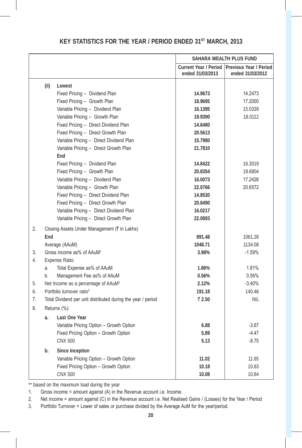# **KEY STATISTICS FOR THE YEAR / PERIOD ENDED 31ST MARCH, 2013**

|    |      |                                                              | <b>SAHARA WEALTH PLUS FUND</b> |                                                                    |
|----|------|--------------------------------------------------------------|--------------------------------|--------------------------------------------------------------------|
|    |      |                                                              | ended 31/03/2013               | Current Year / Period   Previous Year / Period<br>ended 31/03/2012 |
|    | (ii) | Lowest                                                       |                                |                                                                    |
|    |      | Fixed Pricing - Dividend Plan                                | 14.9673                        | 14.2473                                                            |
|    |      | Fixed Pricing - Growth Plan                                  | 18,9695                        | 17.2000                                                            |
|    |      | Variable Pricing - Dividend Plan                             | 16.1395                        | 15.0339                                                            |
|    |      | Variable Pricing - Growth Plan                               | 19.9390                        | 18.0112                                                            |
|    |      | Fixed Pricing - Direct Dividend Plan                         | 14.6480                        |                                                                    |
|    |      | Fixed Pricing - Direct Growth Plan                           | 20.5613                        |                                                                    |
|    |      | Variable Pricing - Direct Dividend Plan                      | 15.7980                        |                                                                    |
|    |      | Variable Pricing - Direct Growth Plan                        | 21.7810                        |                                                                    |
|    |      | End                                                          |                                |                                                                    |
|    |      | Fixed Pricing - Dividend Plan                                | 14.8422                        | 16.3019                                                            |
|    |      | Fixed Pricing - Growth Plan                                  | 20.8354                        | 19.6804                                                            |
|    |      | Variable Pricing - Dividend Plan                             | 16.0073                        | 17.2426                                                            |
|    |      | Variable Pricing - Growth Plan                               | 22.0766                        | 20.6572                                                            |
|    |      | Fixed Pricing - Direct Dividend Plan                         | 14.8530                        |                                                                    |
|    |      | Fixed Pricing - Direct Growth Plan                           | 20.8490                        |                                                                    |
|    |      | Variable Pricing - Direct Dividend Plan                      | 16.0217                        |                                                                    |
|    |      | Variable Pricing - Direct Growth Plan                        | 22.0893                        |                                                                    |
| 2. |      | Closing Assets Under Management (₹ in Lakhs)                 |                                |                                                                    |
|    | End  |                                                              | 891.48                         | 1061.28                                                            |
|    |      | Average (AAuM)                                               | 1048.71                        | 1134.08                                                            |
| 3. |      | Gross income as% of AAuM <sup>1</sup>                        | 3.98%                          | $-1.59%$                                                           |
| 4. |      | Expense Ratio:                                               |                                |                                                                    |
|    | a.   | Total Expense as% of AAuM                                    | 1.86%                          | 1.81%                                                              |
|    | b.   | Management Fee as% of AAuM                                   | 0.56%                          | 0.56%                                                              |
| 5. |      | Net Income as a percentage of AAuM <sup>2</sup>              | 2.12%                          | $-3.40%$                                                           |
| 6. |      | Portfolio turnover ratio <sup>3</sup>                        | 191.18                         | 140.46                                                             |
| 7. |      | Total Dividend per unit distributed during the year / period | ₹ 2.50                         | <b>NIL</b>                                                         |
| 8. |      | Returns (%):                                                 |                                |                                                                    |
|    | a.   | Last One Year                                                |                                |                                                                    |
|    |      | Variable Pricing Option - Growth Option                      | 6.88                           | $-3.67$                                                            |
|    |      | Fixed Pricing Option - Growth Option                         | 5.89                           | $-4.47$                                                            |
|    |      | <b>CNX 500</b>                                               | 5.13                           | $-8.75$                                                            |
|    | b.   | Since Inception                                              |                                |                                                                    |
|    |      | Variable Pricing Option - Growth Option                      | 11.02                          | 11.65                                                              |
|    |      | Fixed Pricing Option - Growth Option                         | 10.18                          | 10.83                                                              |
|    |      | <b>CNX 500</b>                                               | 10.08                          | 10.84                                                              |

\*\* based on the maximum load during the year

1. Gross income = amount against (A) in the Revenue account i.e. Income.

2. Net income = amount against (C) in the Revenue account i.e. Net Realised Gains / (Losses) for the Year / Period

3. Portfolio Turnover = Lower of sales or purchase divided by the Average AuM for the year/period.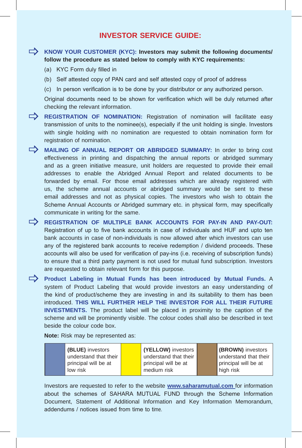# **INVESTOR SERVICE GUIDE:**

# **E> KNOW YOUR CUSTOMER (KYC): Investors may submit the following documents/ follow the procedure as stated below to comply with KYC requirements:**

- (a) KYC Form duly filled in
- (b) Self attested copy of PAN card and self attested copy of proof of address
- (c) In person verification is to be done by your distributor or any authorized person.

Original documents need to be shown for verification which will be duly returned after checking the relevant information.

**EX REGISTRATION OF NOMINATION:** Registration of nomination will facilitate easy transmission of units to the nominee(s), especially if the unit holding is single. Investors with single holding with no nomination are requested to obtain nomination form for registration of nomination.

- $\Box$  MAILING OF ANNUAL REPORT OR ABRIDGED SUMMARY: In order to bring cost effectiveness in printing and dispatching the annual reports or abridged summary and as a green initiative measure, unit holders are requested to provide their email addresses to enable the Abridged Annual Report and related documents to be forwarded by email. For those email addresses which are already registered with us, the scheme annual accounts or abridged summary would be sent to these email addresses and not as physical copies. The investors who wish to obtain the Scheme Annual Accounts or Abridged summary etc. in physical form, may specifically communicate in writing for the same.
- $\Box$  **REGISTRATION OF MULTIPLE BANK ACCOUNTS FOR PAY-IN AND PAY-OUT:** Registration of up to five bank accounts in case of individuals and HUF and upto ten bank accounts in case of non-individuals is now allowed after which investors can use any of the registered bank accounts to receive redemption / dividend proceeds. These accounts will also be used for verification of pay-ins (i.e. receiving of subscription funds) to ensure that a third party payment is not used for mutual fund subscription. Investors are requested to obtain relevant form for this purpose.

 $\Box$  Product Labeling in Mutual Funds has been introduced by Mutual Funds. A system of Product Labeling that would provide investors an easy understanding of the kind of product/scheme they are investing in and its suitability to them has been introduced. **THIS WILL FURTHER HELP THE INVESTOR FOR ALL THEIR FUTURE INVESTMENTS.** The product label will be placed in proximity to the caption of the scheme and will be prominently visible. The colour codes shall also be described in text beside the colour code box.

**Note:** Risk may be represented as:

| <b>(BLUE)</b> investors | (YELLOW) investors    | (BROWN) investors     |
|-------------------------|-----------------------|-----------------------|
| understand that their   | understand that their | understand that their |
| principal will be at    | principal will be at  | principal will be at  |
| low risk                | medium risk           | high risk             |

Investors are requested to refer to the website **www.saharamutual.com** for information about the schemes of SAHARA MUTUAL FUND through the Scheme Information Document, Statement of Additional Information and Key Information Memorandum, addendums / notices issued from time to time.